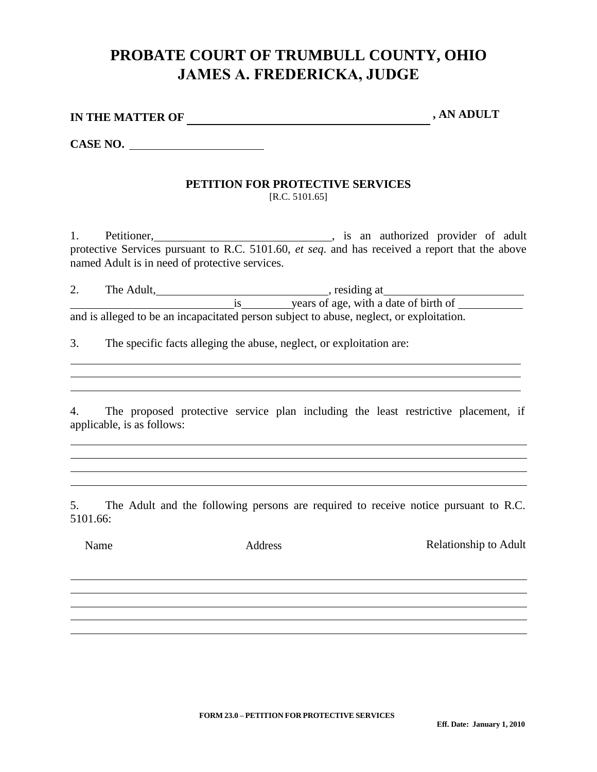## **PROBATE COURT OF TRUMBULL COUNTY, OHIO JAMES A. FREDERICKA, JUDGE**

| IN THE MATTER OF | , AN ADULT |
|------------------|------------|
|------------------|------------|

**CASE NO.** 

## **PETITION FOR PROTECTIVE SERVICES** [R.C. 5101.65]

1. Petitioner, **Example 2018**, is an authorized provider of adult protective Services pursuant to R.C. 5101.60, *et seq*. and has received a report that the above named Adult is in need of protective services.

2. The Adult, The Adult, The Adult, The Adult, The Adult, The Adult, The Adult, The Adult, The Adult, The Adult is years of age, with a date of birth of and is alleged to be an incapacitated person subject to abuse, neglect, or exploitation.

3. The specific facts alleging the abuse, neglect, or exploitation are:

4. The proposed protective service plan including the least restrictive placement, if applicable, is as follows:

5. The Adult and the following persons are required to receive notice pursuant to R.C. 5101.66:

Name Address Address Relationship to Adult

**FORM 23.0 – PETITION FOR PROTECTIVE SERVICES**